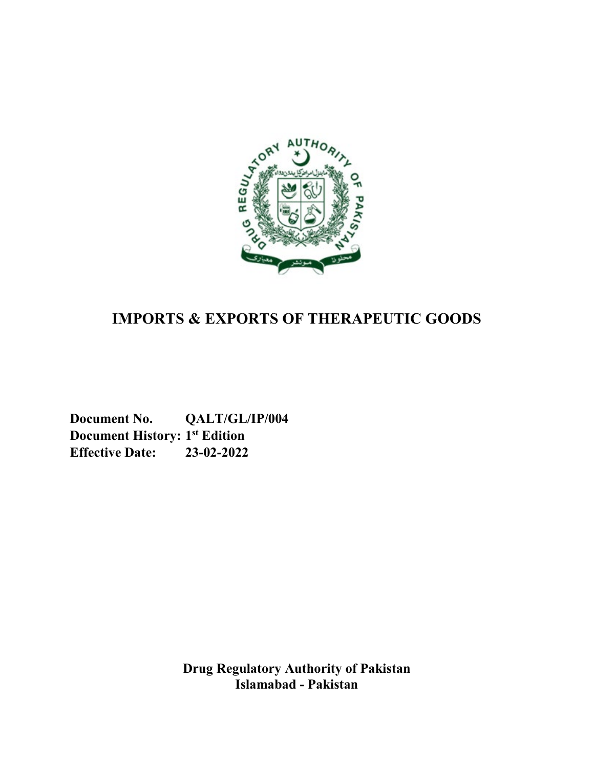

# **IMPORTS & EXPORTS OF THERAPEUTIC GOODS**

**Document No. QALT/GL/IP/004 Document History: 1st Edition Effective Date: 23-02-2022**

> **Drug Regulatory Authority of Pakistan Islamabad - Pakistan**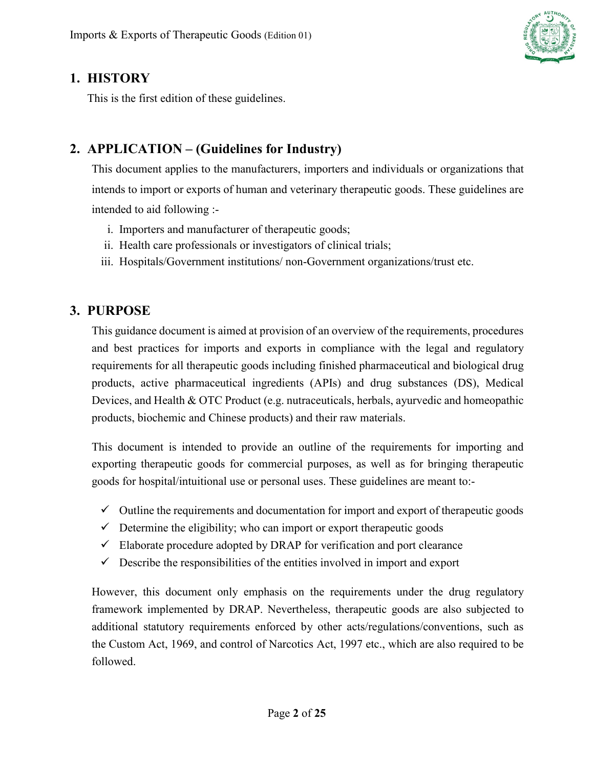

### <span id="page-1-0"></span>**1. HISTORY**

This is the first edition of these guidelines.

# <span id="page-1-1"></span>**2. APPLICATION – (Guidelines for Industry)**

This document applies to the manufacturers, importers and individuals or organizations that intends to import or exports of human and veterinary therapeutic goods. These guidelines are intended to aid following :-

- i. Importers and manufacturer of therapeutic goods;
- ii. Health care professionals or investigators of clinical trials;
- iii. Hospitals/Government institutions/ non-Government organizations/trust etc.

### <span id="page-1-2"></span>**3. PURPOSE**

This guidance document is aimed at provision of an overview of the requirements, procedures and best practices for imports and exports in compliance with the legal and regulatory requirements for all therapeutic goods including finished pharmaceutical and biological drug products, active pharmaceutical ingredients (APIs) and drug substances (DS), Medical Devices, and Health & OTC Product (e.g. nutraceuticals, herbals, ayurvedic and homeopathic products, biochemic and Chinese products) and their raw materials.

This document is intended to provide an outline of the requirements for importing and exporting therapeutic goods for commercial purposes, as well as for bringing therapeutic goods for hospital/intuitional use or personal uses. These guidelines are meant to:-

- $\checkmark$  Outline the requirements and documentation for import and export of therapeutic goods
- $\checkmark$  Determine the eligibility; who can import or export therapeutic goods
- $\checkmark$  Elaborate procedure adopted by DRAP for verification and port clearance
- $\checkmark$  Describe the responsibilities of the entities involved in import and export

However, this document only emphasis on the requirements under the drug regulatory framework implemented by DRAP. Nevertheless, therapeutic goods are also subjected to additional statutory requirements enforced by other acts/regulations/conventions, such as the Custom Act, 1969, and control of Narcotics Act, 1997 etc., which are also required to be followed.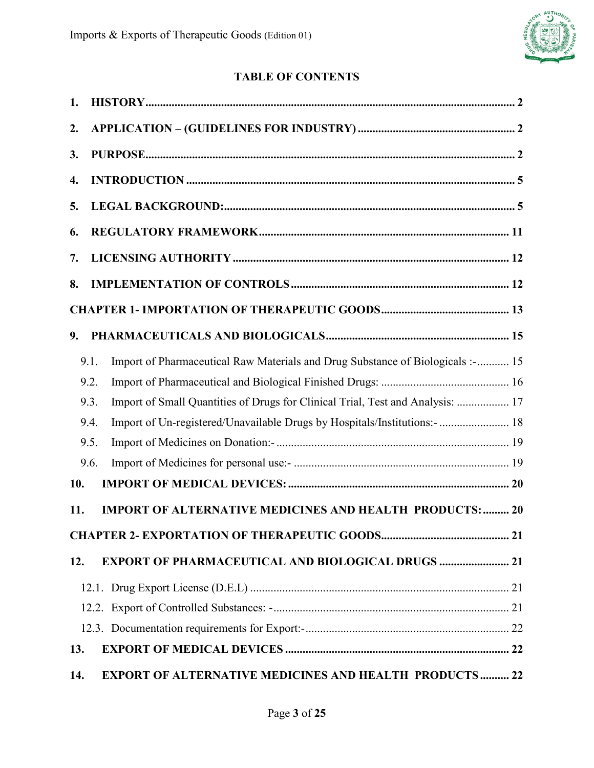

### **TABLE OF CONTENTS**

| 1.  |      |                                                                                |  |
|-----|------|--------------------------------------------------------------------------------|--|
| 2.  |      |                                                                                |  |
| 3.  |      |                                                                                |  |
| 4.  |      |                                                                                |  |
| 5.  |      |                                                                                |  |
| 6.  |      |                                                                                |  |
| 7.  |      |                                                                                |  |
| 8.  |      |                                                                                |  |
|     |      |                                                                                |  |
| 9.  |      |                                                                                |  |
|     | 9.1. | Import of Pharmaceutical Raw Materials and Drug Substance of Biologicals :- 15 |  |
|     | 9.2. |                                                                                |  |
|     | 9.3. | Import of Small Quantities of Drugs for Clinical Trial, Test and Analysis:  17 |  |
|     | 9.4. | Import of Un-registered/Unavailable Drugs by Hospitals/Institutions:-  18      |  |
|     | 9.5. |                                                                                |  |
|     | 9.6. |                                                                                |  |
|     |      |                                                                                |  |
| 10. |      |                                                                                |  |
| 11. |      | <b>IMPORT OF ALTERNATIVE MEDICINES AND HEALTH PRODUCTS:  20</b>                |  |
|     |      |                                                                                |  |
| 12. |      | <b>EXPORT OF PHARMACEUTICAL AND BIOLOGICAL DRUGS  21</b>                       |  |
|     |      |                                                                                |  |
|     |      |                                                                                |  |
|     |      |                                                                                |  |
| 13. |      |                                                                                |  |
| 14. |      | <b>EXPORT OF ALTERNATIVE MEDICINES AND HEALTH PRODUCTS 22</b>                  |  |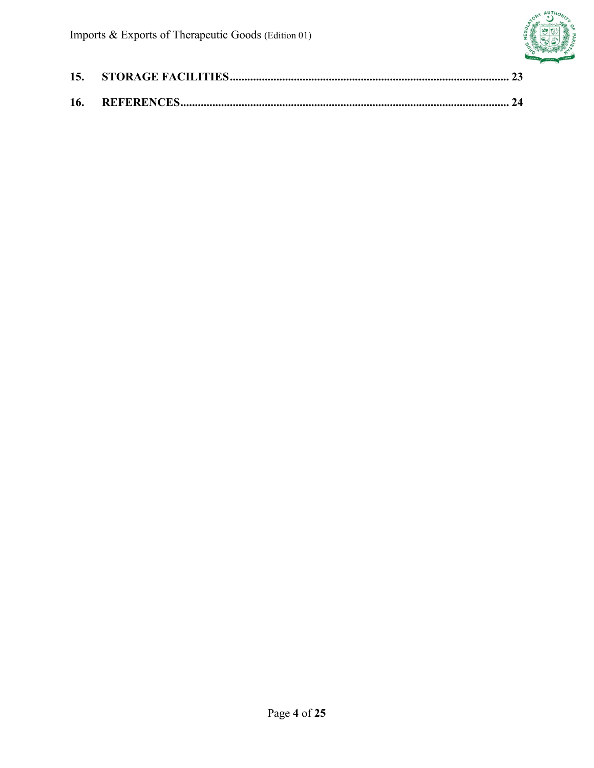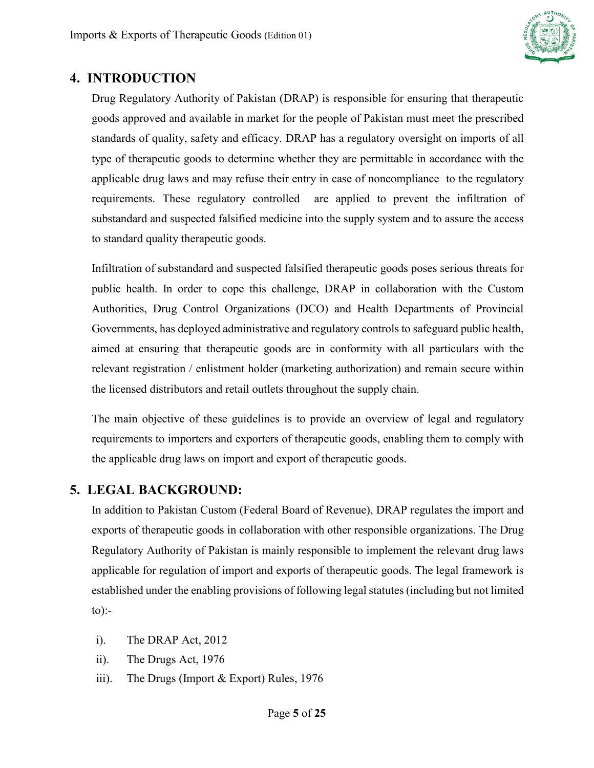

### <span id="page-4-0"></span>**4. INTRODUCTION**

Drug Regulatory Authority of Pakistan (DRAP) is responsible for ensuring that therapeutic goods approved and available in market for the people of Pakistan must meet the prescribed standards of quality, safety and efficacy. DRAP has a regulatory oversight on imports of all type of therapeutic goods to determine whether they are permittable in accordance with the applicable drug laws and may refuse their entry in case of noncompliance to the regulatory requirements. These regulatory controlled are applied to prevent the infiltration of substandard and suspected falsified medicine into the supply system and to assure the access to standard quality therapeutic goods.

Infiltration of substandard and suspected falsified therapeutic goods poses serious threats for public health. In order to cope this challenge, DRAP in collaboration with the Custom Authorities, Drug Control Organizations (DCO) and Health Departments of Provincial Governments, has deployed administrative and regulatory controls to safeguard public health, aimed at ensuring that therapeutic goods are in conformity with all particulars with the relevant registration / enlistment holder (marketing authorization) and remain secure within the licensed distributors and retail outlets throughout the supply chain.

The main objective of these guidelines is to provide an overview of legal and regulatory requirements to importers and exporters of therapeutic goods, enabling them to comply with the applicable drug laws on import and export of therapeutic goods.

### <span id="page-4-1"></span>**5. LEGAL BACKGROUND:**

In addition to Pakistan Custom (Federal Board of Revenue), DRAP regulates the import and exports of therapeutic goods in collaboration with other responsible organizations. The Drug Regulatory Authority of Pakistan is mainly responsible to implement the relevant drug laws applicable for regulation of import and exports of therapeutic goods. The legal framework is established under the enabling provisions of following legal statutes (including but not limited  $to$ :-

- i). The DRAP Act, 2012
- ii). The Drugs Act, 1976
- iii). The Drugs (Import & Export) Rules, 1976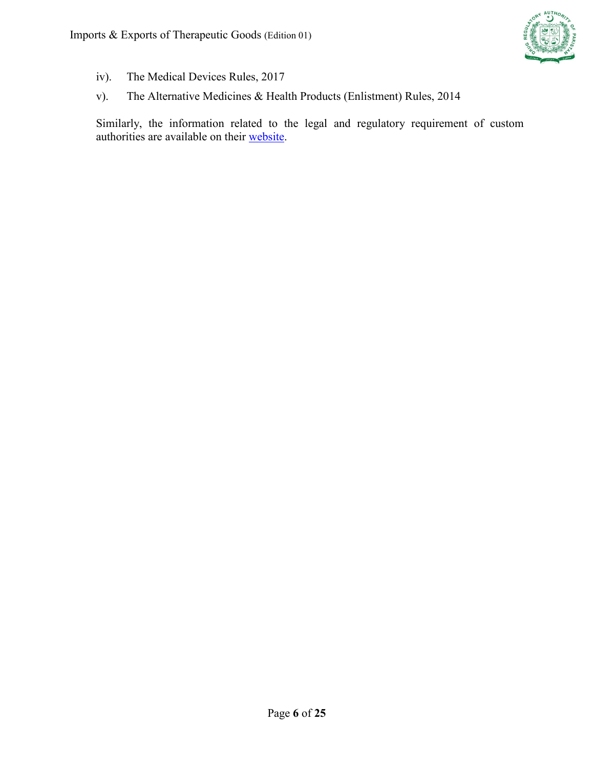

- iv). The Medical Devices Rules, 2017
- v). The Alternative Medicines & Health Products (Enlistment) Rules, 2014

Similarly, the information related to the legal and regulatory requirement of custom authorities are available on their [website.](https://www.fbr.gov.pk/customs/51149/131168)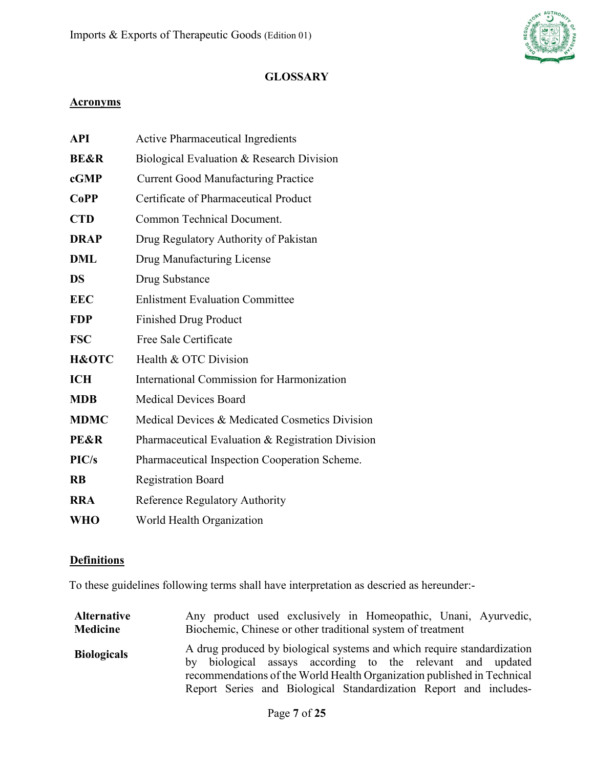

### **GLOSSARY**

#### **Acronyms**

| <b>API</b>      | <b>Active Pharmaceutical Ingredients</b>          |
|-----------------|---------------------------------------------------|
| <b>BE&amp;R</b> | Biological Evaluation & Research Division         |
| cGMP            | <b>Current Good Manufacturing Practice</b>        |
| <b>CoPP</b>     | Certificate of Pharmaceutical Product             |
| <b>CTD</b>      | Common Technical Document.                        |
| <b>DRAP</b>     | Drug Regulatory Authority of Pakistan             |
| <b>DML</b>      | Drug Manufacturing License                        |
| <b>DS</b>       | Drug Substance                                    |
| <b>EEC</b>      | <b>Enlistment Evaluation Committee</b>            |
| <b>FDP</b>      | <b>Finished Drug Product</b>                      |
| <b>FSC</b>      | Free Sale Certificate                             |
| H&OTC           | Health & OTC Division                             |
| <b>ICH</b>      | International Commission for Harmonization        |
| <b>MDB</b>      | <b>Medical Devices Board</b>                      |
| <b>MDMC</b>     | Medical Devices & Medicated Cosmetics Division    |
| <b>PE&amp;R</b> | Pharmaceutical Evaluation & Registration Division |
| PIC/s           | Pharmaceutical Inspection Cooperation Scheme.     |
| <b>RB</b>       | <b>Registration Board</b>                         |
| <b>RRA</b>      | Reference Regulatory Authority                    |
| <b>WHO</b>      | World Health Organization                         |

#### **Definitions**

To these guidelines following terms shall have interpretation as descried as hereunder:-

| <b>Alternative</b> | Any product used exclusively in Homeopathic, Unani, Ayurvedic,                                                                                                                                                                                                                        |
|--------------------|---------------------------------------------------------------------------------------------------------------------------------------------------------------------------------------------------------------------------------------------------------------------------------------|
| <b>Medicine</b>    | Biochemic, Chinese or other traditional system of treatment                                                                                                                                                                                                                           |
| <b>Biologicals</b> | A drug produced by biological systems and which require standardization<br>by biological assays according to the relevant and updated<br>recommendations of the World Health Organization published in Technical<br>Report Series and Biological Standardization Report and includes- |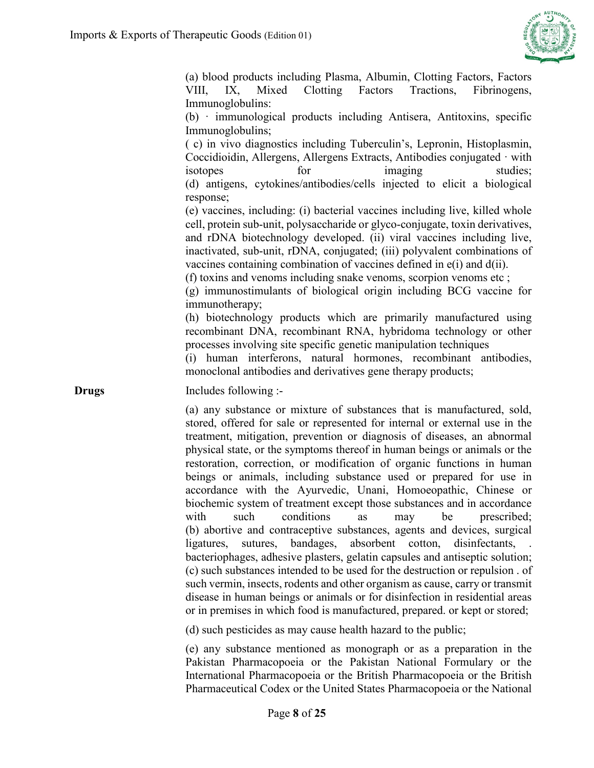

(a) blood products including Plasma, Albumin, Clotting Factors, Factors VIII, IX, Mixed Clotting Factors Tractions, Fibrinogens, Immunoglobulins:

(b) · immunological products including Antisera, Antitoxins, specific Immunoglobulins;

( c) in vivo diagnostics including Tuberculin's, Lepronin, Histoplasmin, Coccidioidin, Allergens, Allergens Extracts, Antibodies conjugated · with isotopes for imaging studies; (d) antigens, cytokines/antibodies/cells injected to elicit a biological response;

(e) vaccines, including: (i) bacterial vaccines including live, killed whole cell, protein sub-unit, polysaccharide or glyco-conjugate, toxin derivatives, and rDNA biotechnology developed. (ii) viral vaccines including live, inactivated, sub-unit, rDNA, conjugated; (iii) polyvalent combinations of vaccines containing combination of vaccines defined in e(i) and d(ii).

(f) toxins and venoms including snake venoms, scorpion venoms etc ;

(g) immunostimulants of biological origin including BCG vaccine for immunotherapy;

(h) biotechnology products which are primarily manufactured using recombinant DNA, recombinant RNA, hybridoma technology or other processes involving site specific genetic manipulation techniques

(i) human interferons, natural hormones, recombinant antibodies, monoclonal antibodies and derivatives gene therapy products;

**Drugs** Includes following :-

(a) any substance or mixture of substances that is manufactured, sold, stored, offered for sale or represented for internal or external use in the treatment, mitigation, prevention or diagnosis of diseases, an abnormal physical state, or the symptoms thereof in human beings or animals or the restoration, correction, or modification of organic functions in human beings or animals, including substance used or prepared for use in accordance with the Ayurvedic, Unani, Homoeopathic, Chinese or biochemic system of treatment except those substances and in accordance with such conditions as may be prescribed; (b) abortive and contraceptive substances, agents and devices, surgical ligatures, sutures, bandages, absorbent cotton, disinfectants, bacteriophages, adhesive plasters, gelatin capsules and antiseptic solution; (c) such substances intended to be used for the destruction or repulsion . of such vermin, insects, rodents and other organism as cause, carry or transmit disease in human beings or animals or for disinfection in residential areas or in premises in which food is manufactured, prepared. or kept or stored;

(d) such pesticides as may cause health hazard to the public;

(e) any substance mentioned as monograph or as a preparation in the Pakistan Pharmacopoeia or the Pakistan National Formulary or the International Pharmacopoeia or the British Pharmacopoeia or the British Pharmaceutical Codex or the United States Pharmacopoeia or the National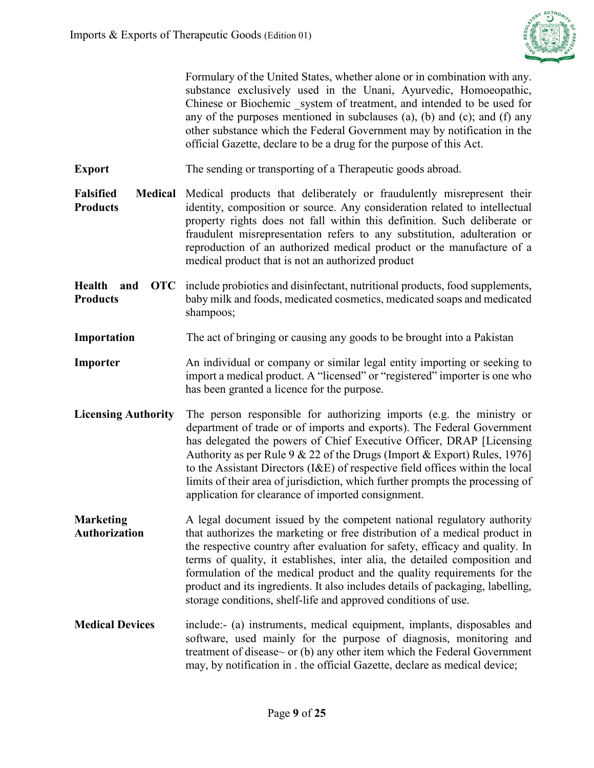

Formulary of the United States, whether alone or in combination with any. substance exclusively used in the Unani, Ayurvedic, Homoeopathic, Chinese or Biochemic system of treatment, and intended to be used for any of the purposes mentioned in subclauses (a), (b) and (c); and (f) any other substance which the Federal Government may by notification in the official Gazette, declare to be a drug for the purpose of this Act.

**Export** The sending or transporting of a Therapeutic goods abroad.

Falsified Medical Medical products that deliberately or fraudulently misrepresent their **Products** identity, composition or source. Any consideration related to intellectual property rights does not fall within this definition. Such deliberate or fraudulent misrepresentation refers to any substitution, adulteration or reproduction of an authorized medical product or the manufacture of a medical product that is not an authorized product

**Health and OTC** include probiotics and disinfectant, nutritional products, food supplements, **Products**  baby milk and foods, medicated cosmetics, medicated soaps and medicated shampoos;

**Importation** The act of bringing or causing any goods to be brought into a Pakistan

- **Importer** An individual or company or similar legal entity importing or seeking to import a medical product. A "licensed" or "registered" importer is one who has been granted a licence for the purpose.
- **Licensing Authority** The person responsible for authorizing imports (e.g. the ministry or department of trade or of imports and exports). The Federal Government has delegated the powers of Chief Executive Officer, DRAP [Licensing Authority as per Rule 9 & 22 of the Drugs (Import & Export) Rules, 1976] to the Assistant Directors (I&E) of respective field offices within the local limits of their area of jurisdiction, which further prompts the processing of application for clearance of imported consignment.

**Marketing Authorization** A legal document issued by the competent national regulatory authority that authorizes the marketing or free distribution of a medical product in the respective country after evaluation for safety, efficacy and quality. In terms of quality, it establishes, inter alia, the detailed composition and formulation of the medical product and the quality requirements for the product and its ingredients. It also includes details of packaging, labelling, storage conditions, shelf-life and approved conditions of use.

**Medical Devices** include:- (a) instruments, medical equipment, implants, disposables and software, used mainly for the purpose of diagnosis, monitoring and treatment of disease~ or (b) any other item which the Federal Government may, by notification in . the official Gazette, declare as medical device;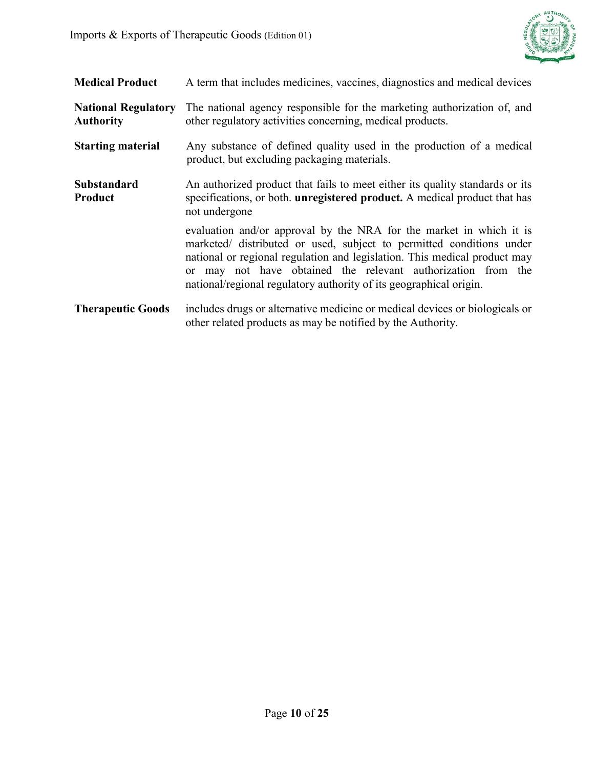

| <b>Medical Product</b>                         | A term that includes medicines, vaccines, diagnostics and medical devices                                                                                                                                                                                                                                                                                      |
|------------------------------------------------|----------------------------------------------------------------------------------------------------------------------------------------------------------------------------------------------------------------------------------------------------------------------------------------------------------------------------------------------------------------|
| <b>National Regulatory</b><br><b>Authority</b> | The national agency responsible for the marketing authorization of, and<br>other regulatory activities concerning, medical products.                                                                                                                                                                                                                           |
| <b>Starting material</b>                       | Any substance of defined quality used in the production of a medical<br>product, but excluding packaging materials.                                                                                                                                                                                                                                            |
| Substandard<br>Product                         | An authorized product that fails to meet either its quality standards or its<br>specifications, or both. <b>unregistered product.</b> A medical product that has<br>not undergone                                                                                                                                                                              |
|                                                | evaluation and/or approval by the NRA for the market in which it is<br>marketed/ distributed or used, subject to permitted conditions under<br>national or regional regulation and legislation. This medical product may<br>or may not have obtained the relevant authorization from the<br>national/regional regulatory authority of its geographical origin. |
| <b>Therapeutic Goods</b>                       | includes drugs or alternative medicine or medical devices or biologicals or<br>other related products as may be notified by the Authority.                                                                                                                                                                                                                     |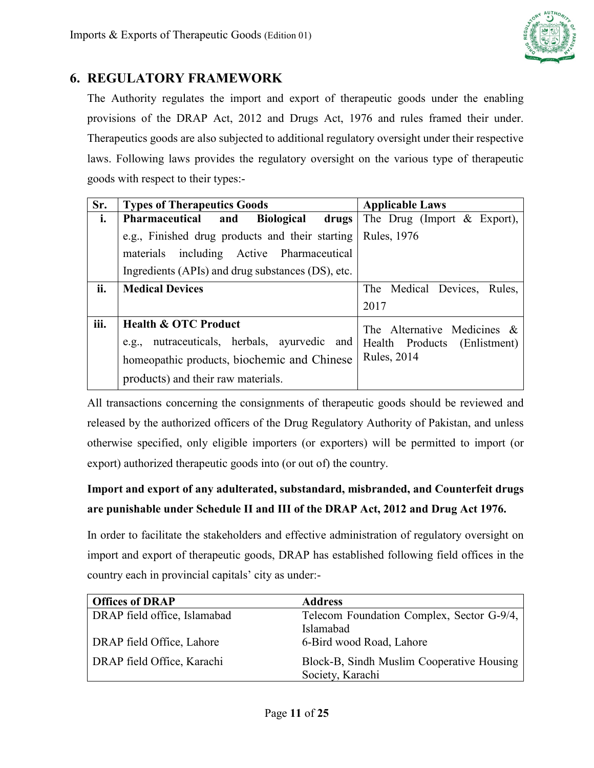

## <span id="page-10-0"></span>**6. REGULATORY FRAMEWORK**

The Authority regulates the import and export of therapeutic goods under the enabling provisions of the DRAP Act, 2012 and Drugs Act, 1976 and rules framed their under. Therapeutics goods are also subjected to additional regulatory oversight under their respective laws. Following laws provides the regulatory oversight on the various type of therapeutic goods with respect to their types:-

| Sr.  | <b>Types of Therapeutics Goods</b>                | <b>Applicable Laws</b>         |
|------|---------------------------------------------------|--------------------------------|
| i.   | Pharmaceutical and<br>Biological drugs            | The Drug (Import $\&$ Export), |
|      | e.g., Finished drug products and their starting   | Rules, 1976                    |
|      | materials including Active Pharmaceutical         |                                |
|      | Ingredients (APIs) and drug substances (DS), etc. |                                |
| ii.  | <b>Medical Devices</b>                            | The Medical Devices, Rules,    |
|      |                                                   | 2017                           |
| iii. | <b>Health &amp; OTC Product</b>                   | The Alternative Medicines &    |
|      | e.g., nutraceuticals, herbals, ayurvedic and      | Health Products (Enlistment)   |
|      | homeopathic products, biochemic and Chinese       | <b>Rules</b> , 2014            |
|      | products) and their raw materials.                |                                |

All transactions concerning the consignments of therapeutic goods should be reviewed and released by the authorized officers of the Drug Regulatory Authority of Pakistan, and unless otherwise specified, only eligible importers (or exporters) will be permitted to import (or export) authorized therapeutic goods into (or out of) the country.

# **Import and export of any adulterated, substandard, misbranded, and Counterfeit drugs are punishable under Schedule II and III of the DRAP Act, 2012 and Drug Act 1976.**

In order to facilitate the stakeholders and effective administration of regulatory oversight on import and export of therapeutic goods, DRAP has established following field offices in the country each in provincial capitals' city as under:-

| <b>Offices of DRAP</b>       | <b>Address</b>                                                |
|------------------------------|---------------------------------------------------------------|
| DRAP field office, Islamabad | Telecom Foundation Complex, Sector G-9/4,                     |
|                              | Islamabad                                                     |
| DRAP field Office, Lahore    | 6-Bird wood Road, Lahore                                      |
| DRAP field Office, Karachi   | Block-B, Sindh Muslim Cooperative Housing<br>Society, Karachi |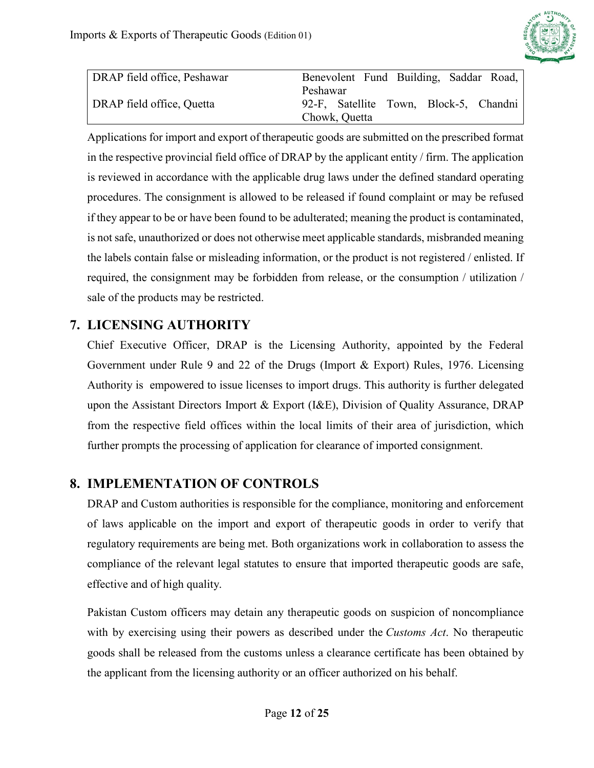

| DRAP field office, Peshawar | Benevolent Fund Building, Saddar Road, |
|-----------------------------|----------------------------------------|
|                             | Peshawar                               |
| DRAP field office, Quetta   | 92-F, Satellite Town, Block-5, Chandni |
|                             | Chowk, Quetta                          |

Applications for import and export of therapeutic goods are submitted on the prescribed format in the respective provincial field office of DRAP by the applicant entity / firm. The application is reviewed in accordance with the applicable drug laws under the defined standard operating procedures. The consignment is allowed to be released if found complaint or may be refused if they appear to be or have been found to be adulterated; meaning the product is contaminated, is not safe, unauthorized or does not otherwise meet applicable standards, misbranded meaning the labels contain false or misleading information, or the product is not registered / enlisted. If required, the consignment may be forbidden from release, or the consumption / utilization / sale of the products may be restricted.

# <span id="page-11-0"></span>**7. LICENSING AUTHORITY**

Chief Executive Officer, DRAP is the Licensing Authority, appointed by the Federal Government under Rule 9 and 22 of the Drugs (Import & Export) Rules, 1976. Licensing Authority is empowered to issue licenses to import drugs. This authority is further delegated upon the Assistant Directors Import & Export (I&E), Division of Quality Assurance, DRAP from the respective field offices within the local limits of their area of jurisdiction, which further prompts the processing of application for clearance of imported consignment.

## <span id="page-11-1"></span>**8. IMPLEMENTATION OF CONTROLS**

DRAP and Custom authorities is responsible for the compliance, monitoring and enforcement of laws applicable on the import and export of therapeutic goods in order to verify that regulatory requirements are being met. Both organizations work in collaboration to assess the compliance of the relevant legal statutes to ensure that imported therapeutic goods are safe, effective and of high quality.

Pakistan Custom officers may detain any therapeutic goods on suspicion of noncompliance with by exercising using their powers as described under the *[Customs Act](https://laws-lois.justice.gc.ca/eng/acts/C-52.6/)*. No therapeutic goods shall be released from the customs unless a clearance certificate has been obtained by the applicant from the licensing authority or an officer authorized on his behalf.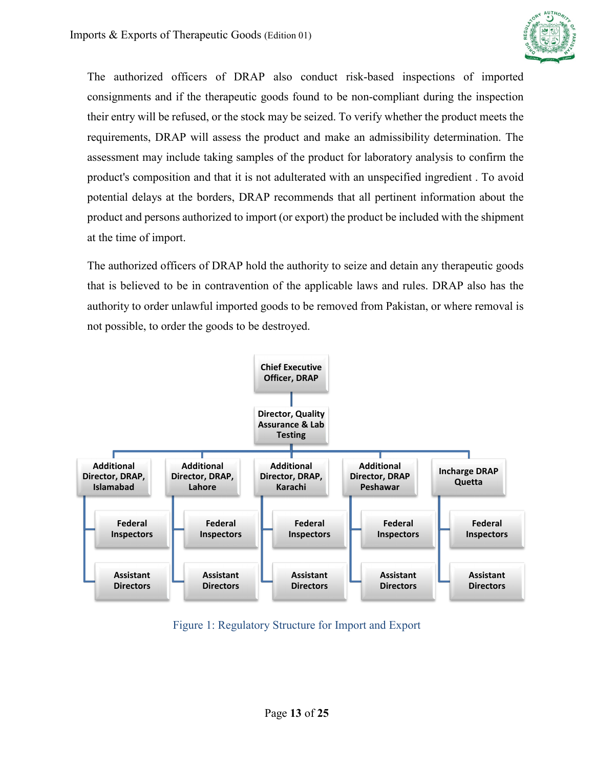

The authorized officers of DRAP also conduct risk-based inspections of imported consignments and if the therapeutic goods found to be non-compliant during the inspection their entry will be refused, or the stock may be seized. To verify whether the product meets the requirements, DRAP will assess the product and make an admissibility determination. The assessment may include taking samples of the product for laboratory analysis to confirm the product's composition and that it is not adulterated with an unspecified ingredient . To avoid potential delays at the borders, DRAP recommends that all pertinent information about the product and persons authorized to import (or export) the product be included with the shipment at the time of import.

The authorized officers of DRAP hold the authority to seize and detain any therapeutic goods that is believed to be in contravention of the applicable laws and rules. DRAP also has the authority to order unlawful imported goods to be removed from Pakistan, or where removal is not possible, to order the goods to be destroyed.



<span id="page-12-0"></span>Figure 1: Regulatory Structure for Import and Export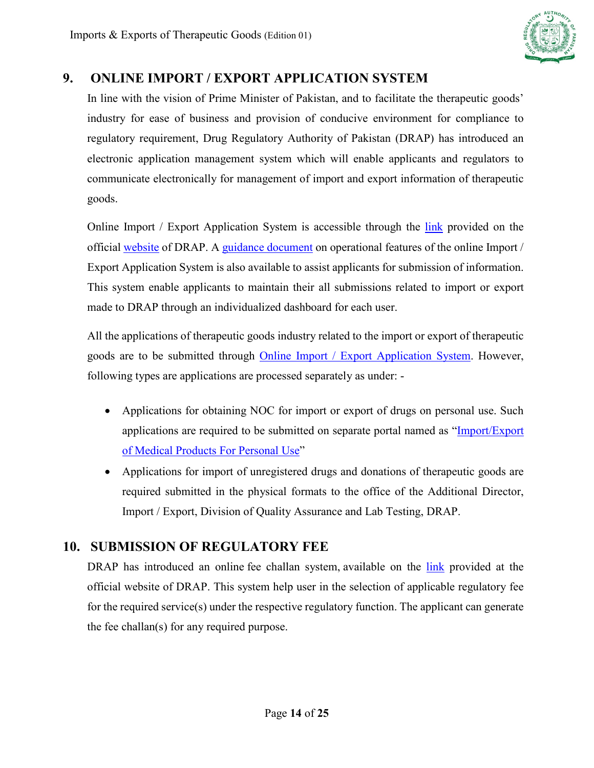

## **9. ONLINE IMPORT / EXPORT APPLICATION SYSTEM**

In line with the vision of Prime Minister of Pakistan, and to facilitate the therapeutic goods' industry for ease of business and provision of conducive environment for compliance to regulatory requirement, Drug Regulatory Authority of Pakistan (DRAP) has introduced an electronic application management system which will enable applicants and regulators to communicate electronically for management of import and export information of therapeutic goods.

Online Import / Export Application System is accessible through the [link](https://ie.dra.gov.pk/Authentication/login) provided on the official [website](http://www.dra.gov.pk/) of DRAP. A [guidance document](https://www.dra.gov.pk/docs/user%20guide%20for%20industry.pdf) on operational features of the online Import / Export Application System is also available to assist applicants for submission of information. This system enable applicants to maintain their all submissions related to import or export made to DRAP through an individualized dashboard for each user.

All the applications of therapeutic goods industry related to the import or export of therapeutic goods are to be submitted through **Online Import** / Export Application System. However, following types are applications are processed separately as under: -

- Applications for obtaining NOC for import or export of drugs on personal use. Such applications are required to be submitted on separate portal named as ["Import/Export](https://public.dra.gov.pk/ie/noc/)  [of Medical Products For Personal Use"](https://public.dra.gov.pk/ie/noc/)
- Applications for import of unregistered drugs and donations of therapeutic goods are required submitted in the physical formats to the office of the Additional Director, Import / Export, Division of Quality Assurance and Lab Testing, DRAP.

## **10. SUBMISSION OF REGULATORY FEE**

DRAP has introduced an online [fee challan system,](https://fee.dra.gov.pk/login) available on the [link](https://fee.dra.gov.pk/login) provided at the official website of DRAP. This system help user in the selection of applicable regulatory fee for the required service(s) under the respective regulatory function. The applicant can generate the fee challan(s) for any required purpose.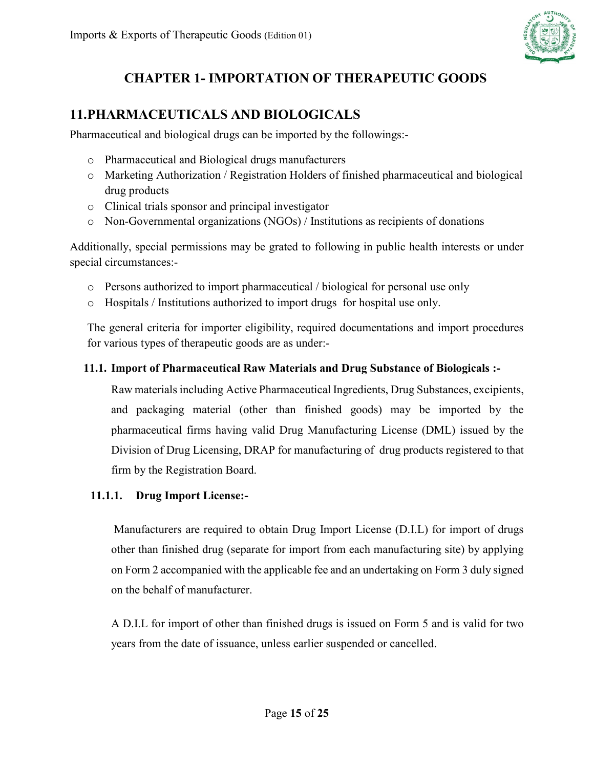

# **CHAPTER 1- IMPORTATION OF THERAPEUTIC GOODS**

## <span id="page-14-0"></span>**11.PHARMACEUTICALS AND BIOLOGICALS**

Pharmaceutical and biological drugs can be imported by the followings:-

- o Pharmaceutical and Biological drugs manufacturers
- o Marketing Authorization / Registration Holders of finished pharmaceutical and biological drug products
- o Clinical trials sponsor and principal investigator
- o Non-Governmental organizations (NGOs) / Institutions as recipients of donations

Additionally, special permissions may be grated to following in public health interests or under special circumstances:-

- o Persons authorized to import pharmaceutical / biological for personal use only
- o Hospitals / Institutions authorized to import drugs for hospital use only.

The general criteria for importer eligibility, required documentations and import procedures for various types of therapeutic goods are as under:-

### <span id="page-14-1"></span>**11.1. Import of Pharmaceutical Raw Materials and Drug Substance of Biologicals :-**

Raw materials including Active Pharmaceutical Ingredients, Drug Substances, excipients, and packaging material (other than finished goods) may be imported by the pharmaceutical firms having valid Drug Manufacturing License (DML) issued by the Division of Drug Licensing, DRAP for manufacturing of drug products registered to that firm by the Registration Board.

### **11.1.1. Drug Import License:-**

Manufacturers are required to obtain Drug Import License (D.I.L) for import of drugs other than finished drug (separate for import from each manufacturing site) by applying on Form 2 accompanied with the applicable fee and an undertaking on Form 3 duly signed on the behalf of manufacturer.

A D.I.L for import of other than finished drugs is issued on Form 5 and is valid for two years from the date of issuance, unless earlier suspended or cancelled.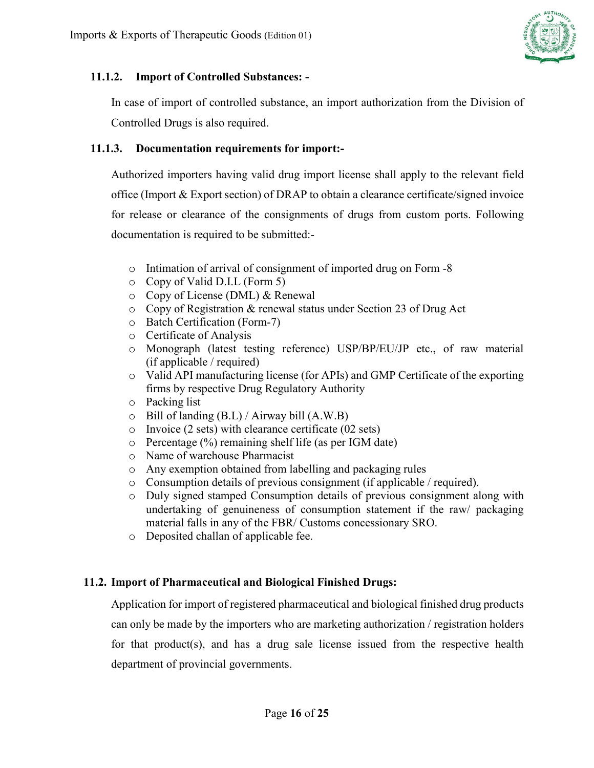

#### **11.1.2. Import of Controlled Substances: -**

In case of import of controlled substance, an import authorization from the Division of Controlled Drugs is also required.

#### **11.1.3. Documentation requirements for import:-**

Authorized importers having valid drug import license shall apply to the relevant field office (Import & Export section) of DRAP to obtain a clearance certificate/signed invoice for release or clearance of the consignments of drugs from custom ports. Following documentation is required to be submitted:-

- o Intimation of arrival of consignment of imported drug on Form -8
- o Copy of Valid D.I.L (Form 5)
- o Copy of License (DML) & Renewal
- o Copy of Registration & renewal status under Section 23 of Drug Act
- o Batch Certification (Form-7)
- o Certificate of Analysis
- o Monograph (latest testing reference) USP/BP/EU/JP etc., of raw material (if applicable / required)
- o Valid API manufacturing license (for APIs) and GMP Certificate of the exporting firms by respective Drug Regulatory Authority
- o Packing list
- o Bill of landing (B.L) / Airway bill (A.W.B)
- o Invoice (2 sets) with clearance certificate (02 sets)
- o Percentage (%) remaining shelf life (as per IGM date)
- o Name of warehouse Pharmacist
- o Any exemption obtained from labelling and packaging rules
- o Consumption details of previous consignment (if applicable / required).
- o Duly signed stamped Consumption details of previous consignment along with undertaking of genuineness of consumption statement if the raw/ packaging material falls in any of the FBR/ Customs concessionary SRO.
- o Deposited challan of applicable fee.

#### <span id="page-15-0"></span>**11.2. Import of Pharmaceutical and Biological Finished Drugs:**

Application for import of registered pharmaceutical and biological finished drug products can only be made by the importers who are marketing authorization / registration holders for that product(s), and has a drug sale license issued from the respective health department of provincial governments.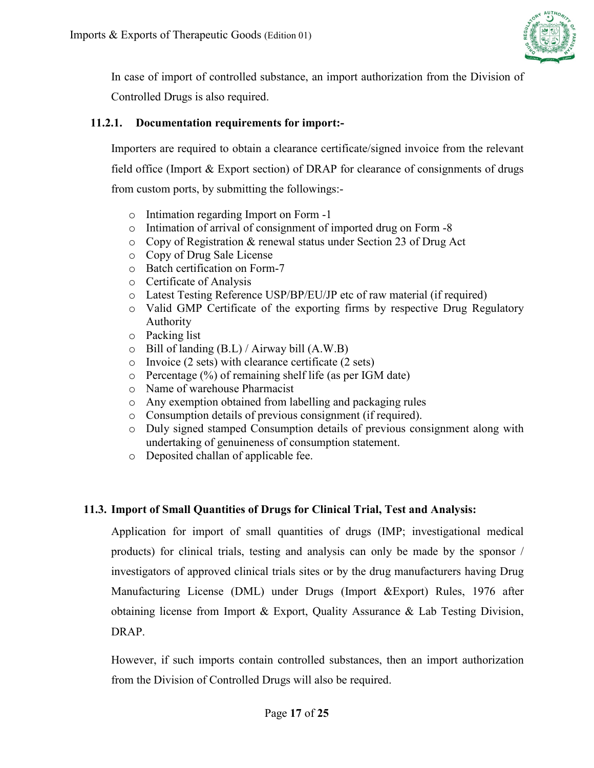

In case of import of controlled substance, an import authorization from the Division of Controlled Drugs is also required.

#### **11.2.1. Documentation requirements for import:-**

Importers are required to obtain a clearance certificate/signed invoice from the relevant field office (Import & Export section) of DRAP for clearance of consignments of drugs from custom ports, by submitting the followings:-

- o Intimation regarding Import on Form -1
- o Intimation of arrival of consignment of imported drug on Form -8
- o Copy of Registration & renewal status under Section 23 of Drug Act
- o Copy of Drug Sale License
- o Batch certification on Form-7
- o Certificate of Analysis
- o Latest Testing Reference USP/BP/EU/JP etc of raw material (if required)
- o Valid GMP Certificate of the exporting firms by respective Drug Regulatory Authority
- o Packing list
- o Bill of landing (B.L) / Airway bill (A.W.B)
- o Invoice (2 sets) with clearance certificate (2 sets)
- $\circ$  Percentage (%) of remaining shelf life (as per IGM date)
- o Name of warehouse Pharmacist
- o Any exemption obtained from labelling and packaging rules
- o Consumption details of previous consignment (if required).
- o Duly signed stamped Consumption details of previous consignment along with undertaking of genuineness of consumption statement.
- o Deposited challan of applicable fee.

#### <span id="page-16-0"></span>**11.3. Import of Small Quantities of Drugs for Clinical Trial, Test and Analysis:**

Application for import of small quantities of drugs (IMP; investigational medical products) for clinical trials, testing and analysis can only be made by the sponsor / investigators of approved clinical trials sites or by the drug manufacturers having Drug Manufacturing License (DML) under Drugs (Import &Export) Rules, 1976 after obtaining license from Import & Export, Quality Assurance & Lab Testing Division, DRAP.

However, if such imports contain controlled substances, then an import authorization from the Division of Controlled Drugs will also be required.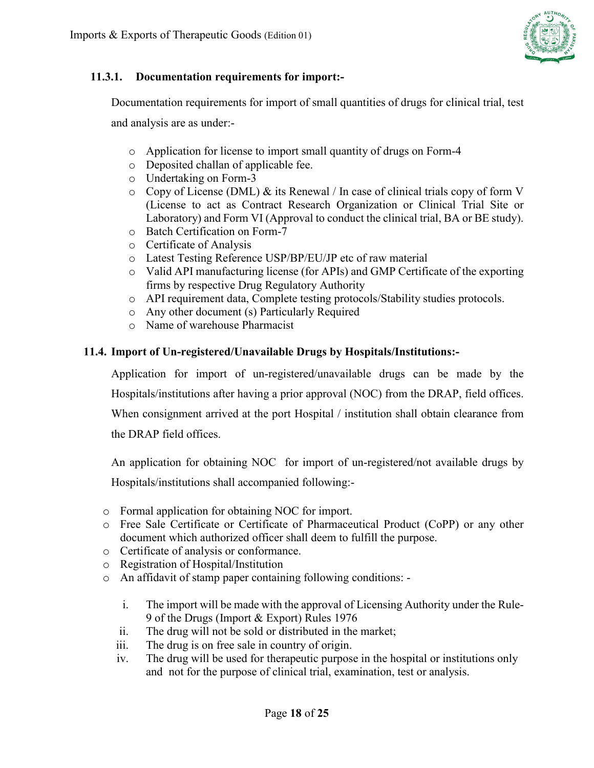

#### **11.3.1. Documentation requirements for import:-**

Documentation requirements for import of small quantities of drugs for clinical trial, test

and analysis are as under:-

- o Application for license to import small quantity of drugs on Form-4
- o Deposited challan of applicable fee.
- o Undertaking on Form-3
- $\circ$  Copy of License (DML) & its Renewal / In case of clinical trials copy of form V (License to act as Contract Research Organization or Clinical Trial Site or Laboratory) and Form VI (Approval to conduct the clinical trial, BA or BE study).
- o Batch Certification on Form-7
- o Certificate of Analysis
- o Latest Testing Reference USP/BP/EU/JP etc of raw material
- o Valid API manufacturing license (for APIs) and GMP Certificate of the exporting firms by respective Drug Regulatory Authority
- o API requirement data, Complete testing protocols/Stability studies protocols.
- o Any other document (s) Particularly Required
- o Name of warehouse Pharmacist

#### <span id="page-17-0"></span>**11.4. Import of Un-registered/Unavailable Drugs by Hospitals/Institutions:-**

Application for import of un-registered/unavailable drugs can be made by the Hospitals/institutions after having a prior approval (NOC) from the DRAP, field offices. When consignment arrived at the port Hospital / institution shall obtain clearance from the DRAP field offices.

An application for obtaining NOC for import of un-registered/not available drugs by Hospitals/institutions shall accompanied following:-

- o Formal application for obtaining NOC for import.
- o Free Sale Certificate or Certificate of Pharmaceutical Product (CoPP) or any other document which authorized officer shall deem to fulfill the purpose.
- o Certificate of analysis or conformance.
- o Registration of Hospital/Institution
- o An affidavit of stamp paper containing following conditions:
	- i. The import will be made with the approval of Licensing Authority under the Rule-9 of the Drugs (Import & Export) Rules 1976
	- ii. The drug will not be sold or distributed in the market;
	- iii. The drug is on free sale in country of origin.
	- iv. The drug will be used for therapeutic purpose in the hospital or institutions only and not for the purpose of clinical trial, examination, test or analysis.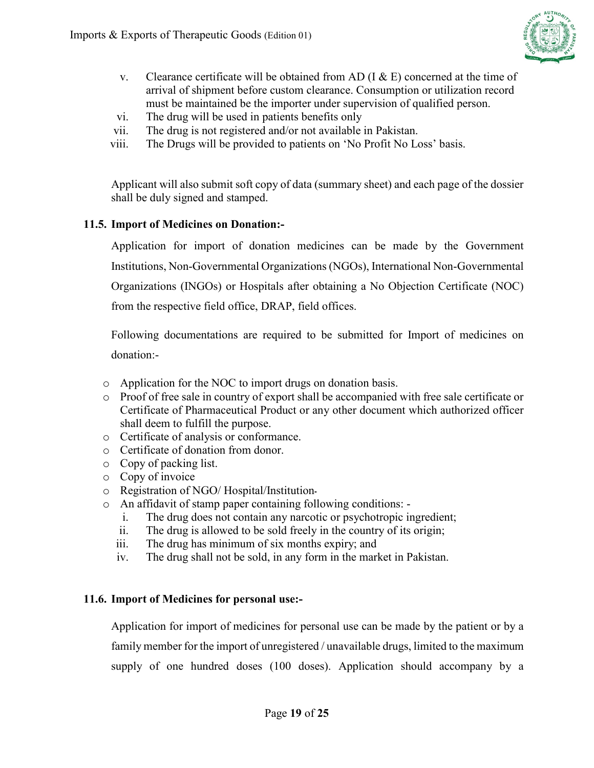

- v. Clearance certificate will be obtained from AD (I  $\&$  E) concerned at the time of arrival of shipment before custom clearance. Consumption or utilization record must be maintained be the importer under supervision of qualified person.
- vi. The drug will be used in patients benefits only
- vii. The drug is not registered and/or not available in Pakistan.
- viii. The Drugs will be provided to patients on 'No Profit No Loss' basis.

Applicant will also submit soft copy of data (summary sheet) and each page of the dossier shall be duly signed and stamped.

#### <span id="page-18-0"></span>**11.5. Import of Medicines on Donation:-**

Application for import of donation medicines can be made by the Government Institutions, Non-Governmental Organizations(NGOs), International Non-Governmental Organizations (INGOs) or Hospitals after obtaining a No Objection Certificate (NOC) from the respective field office, DRAP, field offices.

Following documentations are required to be submitted for Import of medicines on donation:-

- o Application for the NOC to import drugs on donation basis.
- o Proof of free sale in country of export shall be accompanied with free sale certificate or Certificate of Pharmaceutical Product or any other document which authorized officer shall deem to fulfill the purpose.
- o Certificate of analysis or conformance.
- o Certificate of donation from donor.
- o Copy of packing list.
- o Copy of invoice
- o Registration of NGO/ Hospital/Institution۔
- o An affidavit of stamp paper containing following conditions:
	- The drug does not contain any narcotic or psychotropic ingredient;
	- ii. The drug is allowed to be sold freely in the country of its origin;
	- iii. The drug has minimum of six months expiry; and
	- iv. The drug shall not be sold, in any form in the market in Pakistan.

#### <span id="page-18-1"></span>**11.6. Import of Medicines for personal use:-**

Application for import of medicines for personal use can be made by the patient or by a family member for the import of unregistered / unavailable drugs, limited to the maximum supply of one hundred doses (100 doses). Application should accompany by a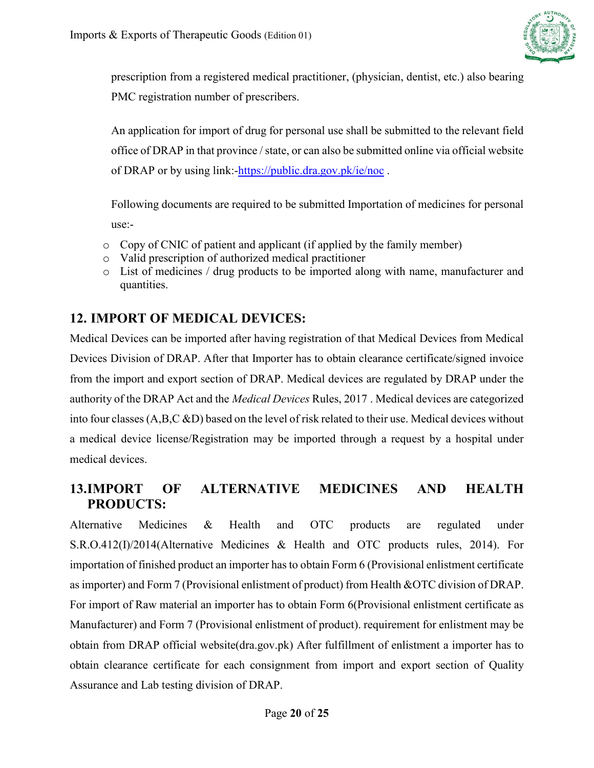

prescription from a registered medical practitioner, (physician, dentist, etc.) also bearing PMC registration number of prescribers.

An application for import of drug for personal use shall be submitted to the relevant field office of DRAP in that province / state, or can also be submitted online via official website of DRAP or by using link:[-https://public.dra.gov.pk/ie/noc](https://public.dra.gov.pk/ie/noc).

Following documents are required to be submitted Importation of medicines for personal use:-

- o Copy of CNIC of patient and applicant (if applied by the family member)
- o Valid prescription of authorized medical practitioner
- o List of medicines / drug products to be imported along with name, manufacturer and quantities.

# <span id="page-19-0"></span>**12. IMPORT OF MEDICAL DEVICES:**

Medical Devices can be imported after having registration of that Medical Devices from Medical Devices Division of DRAP. After that Importer has to obtain clearance certificate/signed invoice from the import and export section of DRAP. Medical devices are regulated by DRAP under the authority of the DRAP Act and the *[Medical Devices](https://laws-lois.justice.gc.ca/eng/regulations/SOR-98-282/)* Rules, 2017 . Medical devices are categorized into four classes (A,B,C &D) based on the level of risk related to their use. Medical devices without a medical device license/Registration may be imported through a request by a hospital under medical devices.

### <span id="page-19-1"></span>**13.IMPORT OF ALTERNATIVE MEDICINES AND HEALTH PRODUCTS:**

Alternative Medicines & Health and OTC products are regulated under S.R.O.412(I)/2014(Alternative Medicines & Health and OTC products rules, 2014). For importation of finished product an importer has to obtain Form 6 (Provisional enlistment certificate as importer) and Form 7 (Provisional enlistment of product) from Health &OTC division of DRAP. For import of Raw material an importer has to obtain Form 6(Provisional enlistment certificate as Manufacturer) and Form 7 (Provisional enlistment of product). requirement for enlistment may be obtain from DRAP official website(dra.gov.pk) After fulfillment of enlistment a importer has to obtain clearance certificate for each consignment from import and export section of Quality Assurance and Lab testing division of DRAP.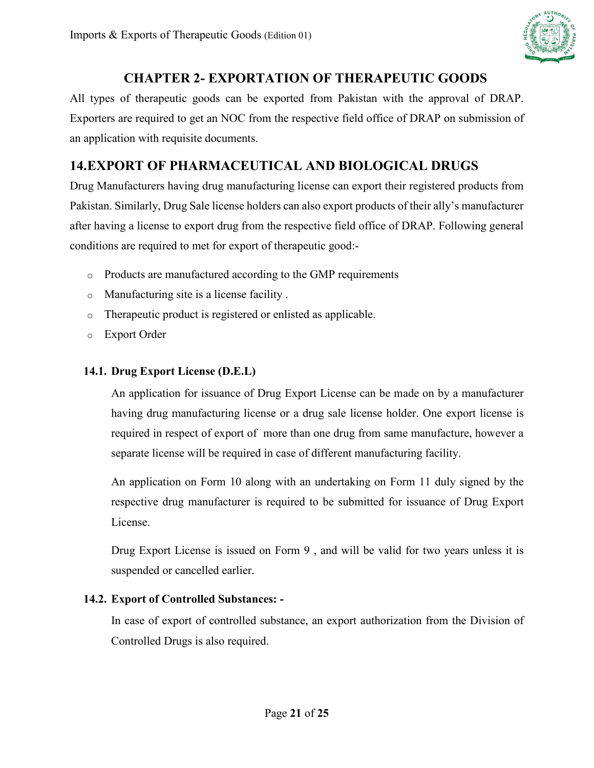

# **CHAPTER 2- EXPORTATION OF THERAPEUTIC GOODS**

<span id="page-20-0"></span>All types of therapeutic goods can be exported from Pakistan with the approval of DRAP. Exporters are required to get an NOC from the respective field office of DRAP on submission of an application with requisite documents.

# <span id="page-20-1"></span>**14.EXPORT OF PHARMACEUTICAL AND BIOLOGICAL DRUGS**

Drug Manufacturers having drug manufacturing license can export their registered products from Pakistan. Similarly, Drug Sale license holders can also export products of their ally's manufacturer after having a license to export drug from the respective field office of DRAP. Following general conditions are required to met for export of therapeutic good:-

- o Products are manufactured according to the GMP requirements
- o Manufacturing site is a license facility .
- o Therapeutic product is registered or enlisted as applicable.
- o Export Order

### <span id="page-20-2"></span>**14.1. Drug Export License (D.E.L)**

An application for issuance of Drug Export License can be made on by a manufacturer having drug manufacturing license or a drug sale license holder. One export license is required in respect of export of more than one drug from same manufacture, however a separate license will be required in case of different manufacturing facility.

An application on Form 10 along with an undertaking on Form 11 duly signed by the respective drug manufacturer is required to be submitted for issuance of Drug Export License.

Drug Export License is issued on Form 9 , and will be valid for two years unless it is suspended or cancelled earlier.

### <span id="page-20-3"></span>**14.2. Export of Controlled Substances: -**

In case of export of controlled substance, an export authorization from the Division of Controlled Drugs is also required.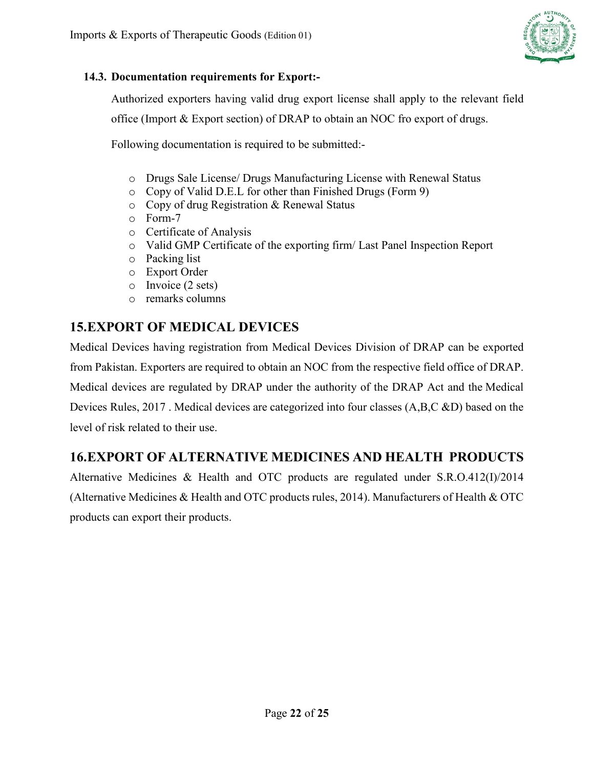

#### <span id="page-21-0"></span>**14.3. Documentation requirements for Export:-**

Authorized exporters having valid drug export license shall apply to the relevant field office (Import & Export section) of DRAP to obtain an NOC fro export of drugs.

Following documentation is required to be submitted:-

- o Drugs Sale License/ Drugs Manufacturing License with Renewal Status
- o Copy of Valid D.E.L for other than Finished Drugs (Form 9)
- o Copy of drug Registration & Renewal Status
- o Form-7
- o Certificate of Analysis
- o Valid GMP Certificate of the exporting firm/ Last Panel Inspection Report
- o Packing list
- o Export Order
- o Invoice (2 sets)
- o remarks columns

# <span id="page-21-1"></span>**15.EXPORT OF MEDICAL DEVICES**

Medical Devices having registration from Medical Devices Division of DRAP can be exported from Pakistan. Exporters are required to obtain an NOC from the respective field office of DRAP. Medical devices are regulated by DRAP under the authority of the DRAP Act and the [Medical](https://laws-lois.justice.gc.ca/eng/regulations/SOR-98-282/)  [Devices](https://laws-lois.justice.gc.ca/eng/regulations/SOR-98-282/) Rules, 2017 . Medical devices are categorized into four classes (A,B,C &D) based on the level of risk related to their use.

## <span id="page-21-2"></span>**16.EXPORT OF ALTERNATIVE MEDICINES AND HEALTH PRODUCTS**

Alternative Medicines & Health and OTC products are regulated under S.R.O.412(I)/2014 (Alternative Medicines & Health and OTC products rules, 2014). Manufacturers of Health & OTC products can export their products.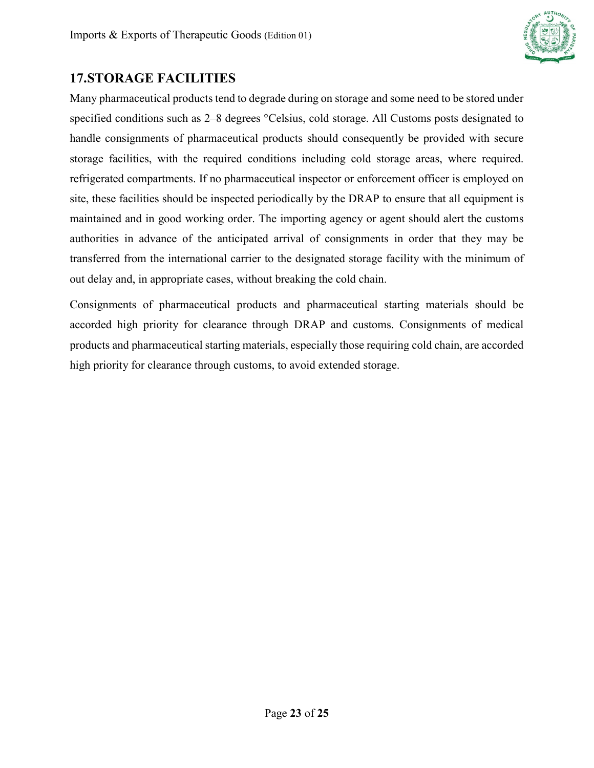

### <span id="page-22-0"></span>**17.STORAGE FACILITIES**

Many pharmaceutical products tend to degrade during on storage and some need to be stored under specified conditions such as 2–8 degrees °Celsius, cold storage. All Customs posts designated to handle consignments of pharmaceutical products should consequently be provided with secure storage facilities, with the required conditions including cold storage areas, where required. refrigerated compartments. If no pharmaceutical inspector or enforcement officer is employed on site, these facilities should be inspected periodically by the DRAP to ensure that all equipment is maintained and in good working order. The importing agency or agent should alert the customs authorities in advance of the anticipated arrival of consignments in order that they may be transferred from the international carrier to the designated storage facility with the minimum of out delay and, in appropriate cases, without breaking the cold chain.

Consignments of pharmaceutical products and pharmaceutical starting materials should be accorded high priority for clearance through DRAP and customs. Consignments of medical products and pharmaceutical starting materials, especially those requiring cold chain, are accorded high priority for clearance through customs, to avoid extended storage.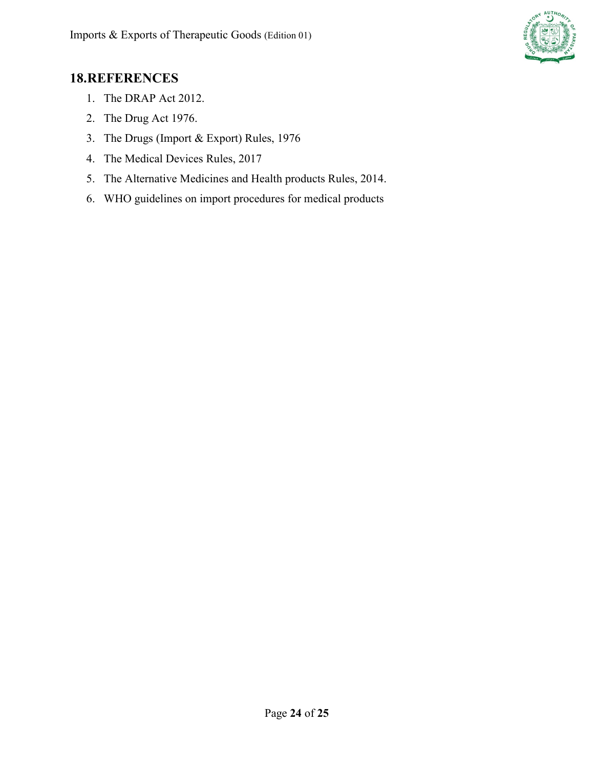

### <span id="page-23-0"></span>**18.REFERENCES**

- 1. The DRAP Act 2012.
- 2. The Drug Act 1976.
- 3. The Drugs (Import & Export) Rules, 1976
- 4. The Medical Devices Rules, 2017
- 5. The Alternative Medicines and Health products Rules, 2014.
- 6. WHO guidelines on import procedures for medical products